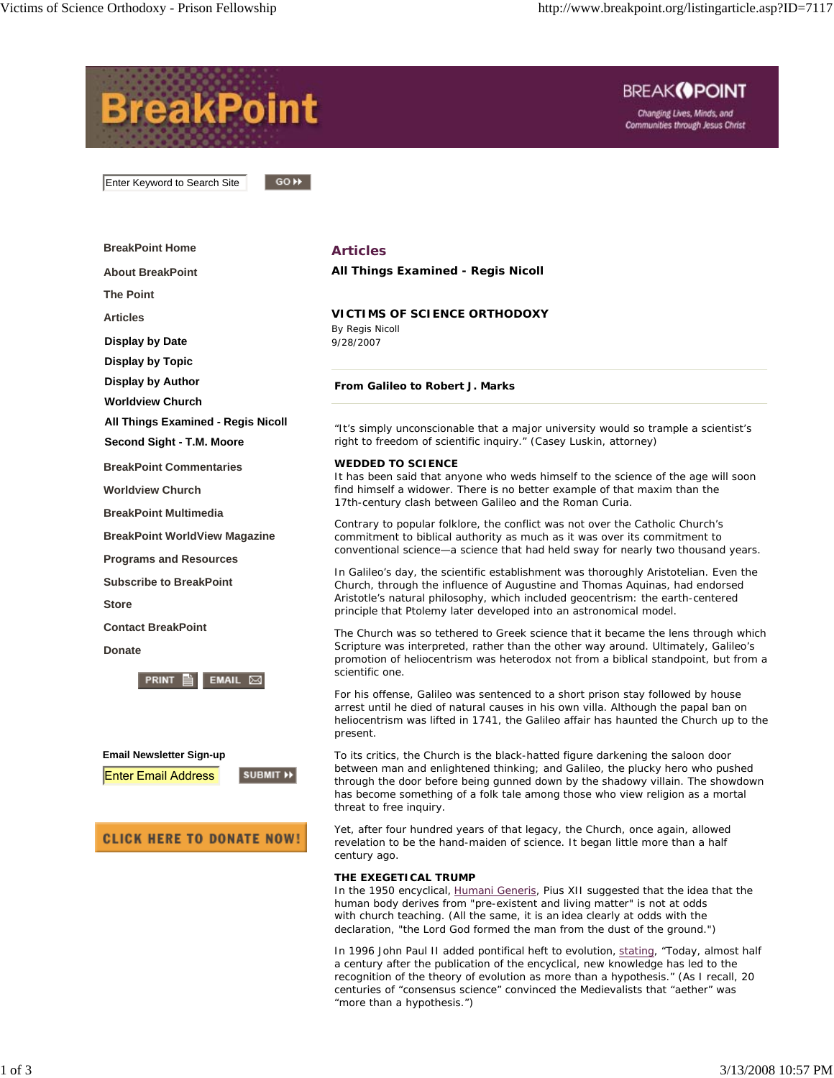

## **THE EXEGETICAL TRUMP**

In the 1950 encyclical, *Humani Generis*, Pius XII suggested that the *idea* that the human body derives from "pre-existent and living matter" is not at odds with church teaching. (All the same, it is an *idea* clearly at odds with the declaration, "the Lord God formed the man from the dust of the ground.")

In 1996 John Paul II added pontifical heft to evolution, stating, "Today, almost half a century after the publication of the encyclical, new knowledge has led to the recognition of the theory of evolution as more than a hypothesis." (As I recall, 20 centuries of "consensus science" convinced the Medievalists that "aether" was "more than a hypothesis.")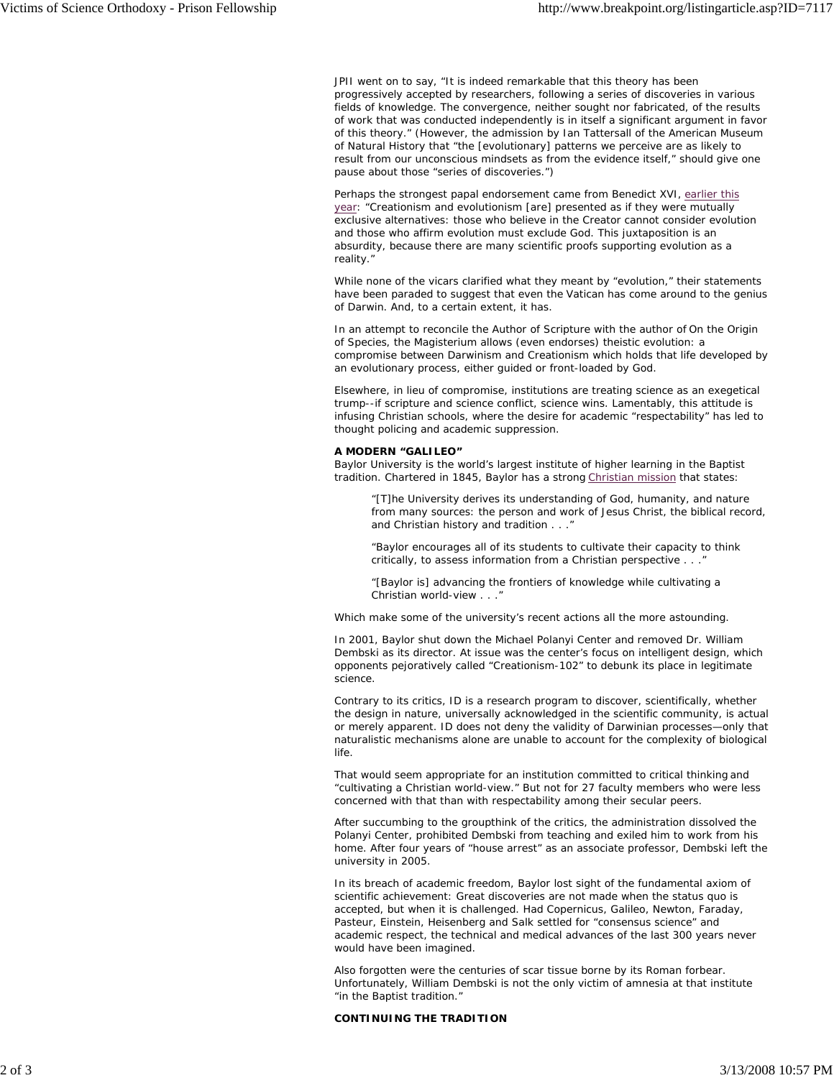JPII went on to say, "It is indeed remarkable that this theory has been progressively accepted by researchers, following a series of discoveries in various fields of knowledge. The convergence, neither sought nor fabricated, of the results of work that was conducted independently is in itself a significant argument in favor of this theory." (However, the admission by Ian Tattersall of the American Museum of Natural History that "the [evolutionary] patterns we perceive are as likely to result from our unconscious mindsets as from the evidence itself," should give one pause about those "series of discoveries.")

Perhaps the strongest papal endorsement came from Benedict XVI, earlier this year: "Creationism and evolutionism [are] presented as if they were mutually exclusive alternatives: those who believe in the Creator cannot consider evolution and those who affirm evolution must exclude God. This juxtaposition is an absurdity, because there are many scientific proofs supporting evolution as a reality."

While none of the vicars clarified what they meant by "evolution," their statements have been paraded to suggest that even the Vatican has come around to the genius of Darwin. And, to a certain extent, it has.

In an attempt to reconcile the Author of Scripture with the author of *On the Origin of Species*, the Magisterium allows (even endorses) theistic evolution: a compromise between Darwinism and Creationism which holds that life developed by an evolutionary process, either guided or front-loaded by God.

Elsewhere, in lieu of compromise, institutions are treating science as an exegetical trump--if scripture and science conflict, science wins. Lamentably, this attitude is infusing Christian schools, where the desire for academic "respectability" has led to *thought policing* and academic suppression.

## **A MODERN "GALILEO"**

Baylor University is the world's largest institute of higher learning in the Baptist tradition. Chartered in 1845, Baylor has a strong Christian mission that states:

*"[T]he University derives its understanding of God, humanity, and nature from many sources: the person and work of Jesus Christ, the biblical record, and Christian history and tradition . . ."*

*"Baylor encourages all of its students to cultivate their capacity to think critically, to assess information from a Christian perspective . . .* 

*"[Baylor is] advancing the frontiers of knowledge while cultivating a Christian world-view . . ."*

Which make some of the university's recent actions all the more astounding.

In 2001, Baylor shut down the Michael Polanyi Center and removed Dr. William Dembski as its director. At issue was the center's focus on intelligent design, which opponents pejoratively called "Creationism-102" to debunk its place in legitimate science.

Contrary to its critics, ID is a research program to discover, scientifically, whether the design in nature, universally acknowledged in the scientific community, is actual or merely apparent. ID does not deny the validity of Darwinian processes—only that naturalistic mechanisms alone are unable to account for the complexity of biological life.

That would seem appropriate for an institution committed to critical thinking and "cultivating a Christian world-view." But not for 27 faculty members who were less concerned with that than with respectability among their secular peers.

After succumbing to the groupthink of the critics, the administration dissolved the Polanyi Center, prohibited Dembski from teaching and exiled him to work from his home. After four years of "house arrest" as an associate professor, Dembski left the university in 2005.

In its breach of academic freedom, Baylor lost sight of the fundamental axiom of scientific achievement: Great discoveries are not made when the status quo is accepted, but when it is challenged. Had Copernicus, Galileo, Newton, Faraday, Pasteur, Einstein, Heisenberg and Salk settled for "consensus science" and academic respect, the technical and medical advances of the last 300 years never would have been imagined.

Also forgotten were the centuries of scar tissue borne by its Roman forbear. Unfortunately, William Dembski is not the only victim of amnesia at that institute "in the Baptist tradition."

## **CONTINUING THE TRADITION**